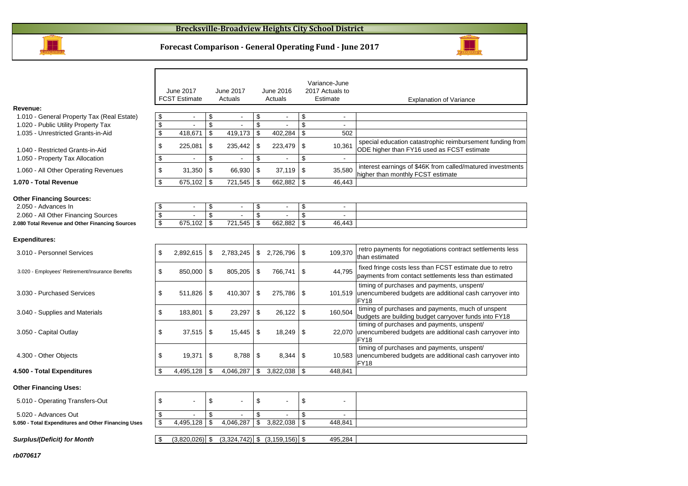#### **Brecksville-Broadview Heights City School District**



**Forecast Comparison - General Operating Fund - June 2017**



**rb070617**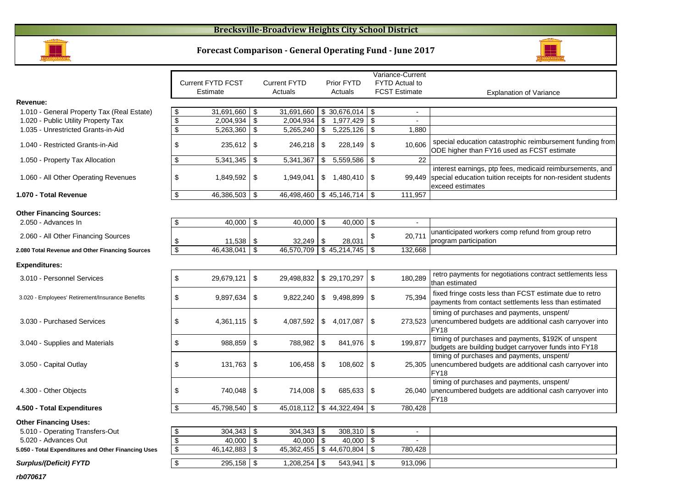### **Brecksville-Broadview Heights City School District**





|                                                     |                         |                          |                         |                     |     |                   |      | Variance-Current      |                                                                                                                                                      |
|-----------------------------------------------------|-------------------------|--------------------------|-------------------------|---------------------|-----|-------------------|------|-----------------------|------------------------------------------------------------------------------------------------------------------------------------------------------|
|                                                     |                         | <b>Current FYTD FCST</b> |                         | <b>Current FYTD</b> |     | Prior FYTD        |      | <b>FYTD Actual to</b> |                                                                                                                                                      |
|                                                     |                         | Estimate                 |                         | Actuals             |     | Actuals           |      | <b>FCST Estimate</b>  | <b>Explanation of Variance</b>                                                                                                                       |
| Revenue:                                            |                         |                          |                         |                     |     |                   |      |                       |                                                                                                                                                      |
| 1.010 - General Property Tax (Real Estate)          | \$                      | 31,691,660               | \$                      | 31,691,660          |     | \$30,676,014      | l \$ |                       |                                                                                                                                                      |
| 1.020 - Public Utility Property Tax                 | $\sqrt[6]{\frac{1}{2}}$ | 2,004,934                | \$                      | 2,004,934           | \$  | $1,977,429$ \$    |      | $\sim$                |                                                                                                                                                      |
| 1.035 - Unrestricted Grants-in-Aid                  | \$                      | 5,263,360                | \$                      | 5,265,240           | \$  | 5,225,126         | l \$ | 1.880                 |                                                                                                                                                      |
| 1.040 - Restricted Grants-in-Aid                    | \$                      | 235,612                  | \$                      | 246,218             | \$  | $228,149$ \$      |      | 10.606                | special education catastrophic reimbursement funding from<br>ODE higher than FY16 used as FCST estimate                                              |
| 1.050 - Property Tax Allocation                     | \$                      | 5,341,345                | \$                      | 5,341,367           | \$  | 5,559,586         | -\$  | 22                    |                                                                                                                                                      |
| 1.060 - All Other Operating Revenues                | \$                      | 1,849,592 \$             |                         | 1,949,041           |     | $$1,480,410$ \\$  |      |                       | interest earnings, ptp fees, medicaid reimbursements, and<br>99,449 special education tuition receipts for non-resident students<br>exceed estimates |
| 1.070 - Total Revenue                               | \$                      | 46,386,503               | \$                      | 46,498,460          |     | \$45,146,714      | -\$  | 111,957               |                                                                                                                                                      |
|                                                     |                         |                          |                         |                     |     |                   |      |                       |                                                                                                                                                      |
| <b>Other Financing Sources:</b>                     |                         |                          |                         |                     |     |                   |      |                       |                                                                                                                                                      |
| 2.050 - Advances In                                 | \$                      | 40,000                   | \$                      | 40,000              | -\$ | 40,000            | \$   |                       |                                                                                                                                                      |
| 2.060 - All Other Financing Sources                 | \$                      | 11,538                   | \$                      | 32,249              | \$  | 28,031            | \$   | 20,711                | unanticipated workers comp refund from group retro<br>program participation                                                                          |
| 2.080 Total Revenue and Other Financing Sources     | $\overline{\mathbf{s}}$ | 46,438,041               | $\overline{\mathbb{S}}$ | 46,570,709          |     | $$45,214,745$ \\$ |      | 132,668               |                                                                                                                                                      |
| <b>Expenditures:</b>                                |                         |                          |                         |                     |     |                   |      |                       |                                                                                                                                                      |
| 3.010 - Personnel Services                          | \$                      | 29,679,121               | \$                      | 29,498,832          |     | \$29,170,297      | \$   | 180,289               | retro payments for negotiations contract settlements less<br>than estimated                                                                          |
| 3.020 - Employees' Retirement/Insurance Benefits    | \$                      | 9,897,634                | \$                      | 9,822,240           |     | \$9,498,899       | - \$ | 75,394                | fixed fringe costs less than FCST estimate due to retro<br>payments from contact settlements less than estimated                                     |
| 3.030 - Purchased Services                          | \$                      | 4,361,115                | \$                      | 4,087,592           | \$  | 4,017,087         | \$   |                       | timing of purchases and payments, unspent/<br>273,523 unencumbered budgets are additional cash carryover into<br><b>FY18</b>                         |
| 3.040 - Supplies and Materials                      | \$                      | 988,859                  | \$                      | 788,982             | \$  | 841,976           | \$   | 199,877               | timing of purchases and payments, \$192K of unspent<br>budgets are building budget carryover funds into FY18                                         |
| 3.050 - Capital Outlay                              | \$                      | 131,763                  | \$                      | 106,458             | \$  | 108,602           | \$   |                       | timing of purchases and payments, unspent/<br>25,305 unencumbered budgets are additional cash carryover into<br><b>FY18</b>                          |
| 4.300 - Other Objects                               | \$                      |                          |                         | 714,008             | \$  | $685,633$   \$    |      |                       | timing of purchases and payments, unspent/<br>26,040 unencumbered budgets are additional cash carryover into<br><b>FY18</b>                          |
| 4.500 - Total Expenditures                          | \$                      | 45,798,540               | \$                      | 45,018,112          |     | \$44,322,494      | \$   | 780,428               |                                                                                                                                                      |
| <b>Other Financing Uses:</b>                        |                         |                          |                         |                     |     |                   |      |                       |                                                                                                                                                      |
| 5.010 - Operating Transfers-Out                     | \$                      | $304,343$ \$             |                         | 304,343             | -\$ | $308,310$ \ \$    |      | $\blacksquare$        |                                                                                                                                                      |
| 5.020 - Advances Out                                | $\overline{\mathbf{S}}$ | 40.000                   | $\mathfrak s$           | 40,000              | \$  | 40.000            | l \$ |                       |                                                                                                                                                      |
| 5.050 - Total Expenditures and Other Financing Uses | \$                      | 46,142,883               | $\sqrt[6]{\frac{1}{2}}$ | 45,362,455          |     | \$44,670,804      | \$   | 780,428               |                                                                                                                                                      |
| <b>Surplus/(Deficit) FYTD</b>                       | $\overline{\mathbf{3}}$ | $295,158$ \$             |                         | 1,208,254           | \$  | $543,941$ \$      |      | 913,096               |                                                                                                                                                      |

**rb070617**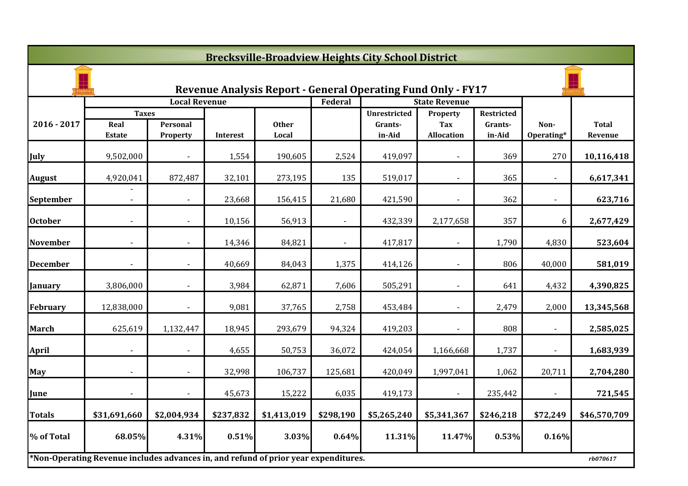|                 | <b>Brecksville-Broadview Heights City School District</b>                           |                      |           |              |                |                                                                     |                        |                              |                          |              |  |  |  |
|-----------------|-------------------------------------------------------------------------------------|----------------------|-----------|--------------|----------------|---------------------------------------------------------------------|------------------------|------------------------------|--------------------------|--------------|--|--|--|
|                 |                                                                                     |                      |           |              |                | <b>Revenue Analysis Report - General Operating Fund Only - FY17</b> |                        |                              |                          |              |  |  |  |
|                 |                                                                                     | <b>Local Revenue</b> |           |              | Federal        |                                                                     | <b>State Revenue</b>   |                              |                          |              |  |  |  |
| $2016 - 2017$   | <b>Taxes</b><br>Real                                                                | Personal             |           | <b>Other</b> |                | <b>Unrestricted</b><br>Grants-                                      | Property<br><b>Tax</b> | <b>Restricted</b><br>Grants- | Non-                     | <b>Total</b> |  |  |  |
|                 | <b>Estate</b>                                                                       | Property             | Interest  | Local        |                | in-Aid                                                              | <b>Allocation</b>      | in-Aid                       | Operating*               | Revenue      |  |  |  |
| July            | 9,502,000                                                                           |                      | 1,554     | 190,605      | 2,524          | 419,097                                                             |                        | 369                          | 270                      | 10,116,418   |  |  |  |
| <b>August</b>   | 4,920,041                                                                           | 872,487              | 32,101    | 273,195      | 135            | 519,017                                                             |                        | 365                          |                          | 6,617,341    |  |  |  |
| September       |                                                                                     | $\sim$               | 23,668    | 156,415      | 21,680         | 421,590                                                             | $\sim$                 | 362                          | $\sim$                   | 623,716      |  |  |  |
| <b>October</b>  |                                                                                     |                      | 10,156    | 56,913       |                | 432,339                                                             | 2,177,658              | 357                          | 6                        | 2,677,429    |  |  |  |
| <b>November</b> |                                                                                     |                      | 14,346    | 84,821       | $\blacksquare$ | 417,817                                                             |                        | 1,790                        | 4,830                    | 523,604      |  |  |  |
| <b>December</b> |                                                                                     |                      | 40,669    | 84,043       | 1,375          | 414,126                                                             |                        | 806                          | 40,000                   | 581,019      |  |  |  |
| <b>January</b>  | 3,806,000                                                                           |                      | 3,984     | 62,871       | 7,606          | 505,291                                                             |                        | 641                          | 4,432                    | 4,390,825    |  |  |  |
| <b>February</b> | 12,838,000                                                                          | $\blacksquare$       | 9,081     | 37,765       | 2,758          | 453,484                                                             | $\sim$                 | 2,479                        | 2,000                    | 13,345,568   |  |  |  |
| <b>March</b>    | 625,619                                                                             | 1,132,447            | 18,945    | 293,679      | 94,324         | 419,203                                                             |                        | 808                          |                          | 2,585,025    |  |  |  |
| <b>April</b>    |                                                                                     |                      | 4,655     | 50,753       | 36,072         | 424,054                                                             | 1,166,668              | 1,737                        |                          | 1,683,939    |  |  |  |
| May             |                                                                                     |                      | 32,998    | 106,737      | 125,681        | 420,049                                                             | 1,997,041              | 1,062                        | 20,711                   | 2,704,280    |  |  |  |
| June            |                                                                                     |                      | 45,673    | 15,222       | 6,035          | 419,173                                                             |                        | 235,442                      | $\overline{\phantom{a}}$ | 721,545      |  |  |  |
| <b>Totals</b>   | \$31,691,660                                                                        | \$2,004,934          | \$237,832 | \$1,413,019  | \$298,190      | \$5,265,240                                                         | \$5,341,367            | \$246,218                    | \$72,249                 | \$46,570,709 |  |  |  |
| % of Total      | 68.05%                                                                              | 4.31%                | 0.51%     | 3.03%        | 0.64%          | 11.31%                                                              | 11.47%                 | 0.53%                        | 0.16%                    |              |  |  |  |
|                 | *Non-Operating Revenue includes advances in, and refund of prior year expenditures. |                      |           |              |                |                                                                     |                        |                              |                          | rb070617     |  |  |  |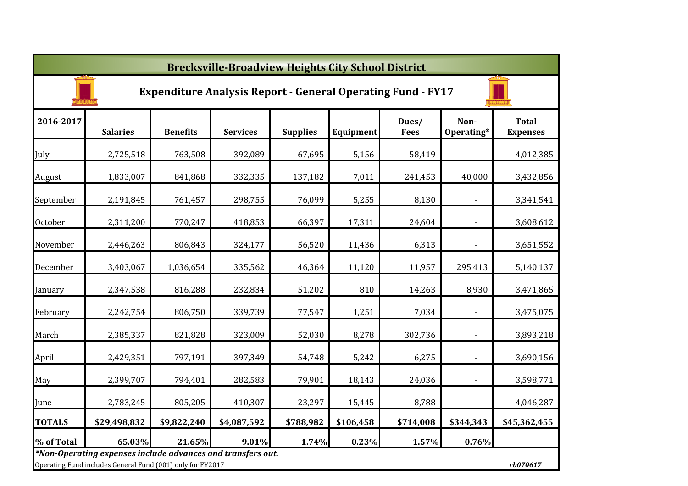|                | <b>Brecksville-Broadview Heights City School District</b>                                                                             |                 |                 |                 |           |                      |                          |                                 |  |  |  |  |
|----------------|---------------------------------------------------------------------------------------------------------------------------------------|-----------------|-----------------|-----------------|-----------|----------------------|--------------------------|---------------------------------|--|--|--|--|
|                | <b>Expenditure Analysis Report - General Operating Fund - FY17</b>                                                                    |                 |                 |                 |           |                      |                          |                                 |  |  |  |  |
| 2016-2017      | <b>Salaries</b>                                                                                                                       | <b>Benefits</b> | <b>Services</b> | <b>Supplies</b> | Equipment | Dues/<br><b>Fees</b> | Non-<br>Operating*       | <b>Total</b><br><b>Expenses</b> |  |  |  |  |
| July           | 2,725,518                                                                                                                             | 763,508         | 392,089         | 67,695          | 5,156     | 58,419               |                          | 4,012,385                       |  |  |  |  |
| August         | 1,833,007                                                                                                                             | 841,868         | 332,335         | 137,182         | 7,011     | 241,453              | 40,000                   | 3,432,856                       |  |  |  |  |
| September      | 2,191,845                                                                                                                             | 761,457         | 298,755         | 76,099          | 5,255     | 8,130                | $\overline{\phantom{a}}$ | 3,341,541                       |  |  |  |  |
| <b>October</b> | 2,311,200                                                                                                                             | 770,247         | 418,853         | 66,397          | 17,311    | 24,604               | $\overline{\phantom{a}}$ | 3,608,612                       |  |  |  |  |
| November       | 2,446,263                                                                                                                             | 806,843         | 324,177         | 56,520          | 11,436    | 6,313                | $\blacksquare$           | 3,651,552                       |  |  |  |  |
| December       | 3,403,067                                                                                                                             | 1,036,654       | 335,562         | 46,364          | 11,120    | 11,957               | 295,413                  | 5,140,137                       |  |  |  |  |
| January        | 2,347,538                                                                                                                             | 816,288         | 232,834         | 51,202          | 810       | 14,263               | 8,930                    | 3,471,865                       |  |  |  |  |
| February       | 2,242,754                                                                                                                             | 806,750         | 339,739         | 77,547          | 1,251     | 7,034                | $\overline{\phantom{a}}$ | 3,475,075                       |  |  |  |  |
| March          | 2,385,337                                                                                                                             | 821,828         | 323,009         | 52,030          | 8,278     | 302,736              | $\overline{\phantom{a}}$ | 3,893,218                       |  |  |  |  |
| April          | 2,429,351                                                                                                                             | 797,191         | 397,349         | 54,748          | 5,242     | 6,275                | $\overline{\phantom{a}}$ | 3,690,156                       |  |  |  |  |
| May            | 2,399,707                                                                                                                             | 794,401         | 282,583         | 79,901          | 18,143    | 24,036               | $\overline{\phantom{a}}$ | 3,598,771                       |  |  |  |  |
| June           | 2,783,245                                                                                                                             | 805,205         | 410,307         | 23,297          | 15,445    | 8,788                | $\blacksquare$           | 4,046,287                       |  |  |  |  |
| <b>TOTALS</b>  | \$29,498,832                                                                                                                          | \$9,822,240     | \$4,087,592     | \$788,982       | \$106,458 | \$714,008            | \$344,343                | \$45,362,455                    |  |  |  |  |
| % of Total     | 65.03%                                                                                                                                | 21.65%          | 9.01%           | 1.74%           | 0.23%     | 1.57%                | 0.76%                    |                                 |  |  |  |  |
|                | *Non-Operating expenses include advances and transfers out.<br>Operating Fund includes General Fund (001) only for FY2017<br>rb070617 |                 |                 |                 |           |                      |                          |                                 |  |  |  |  |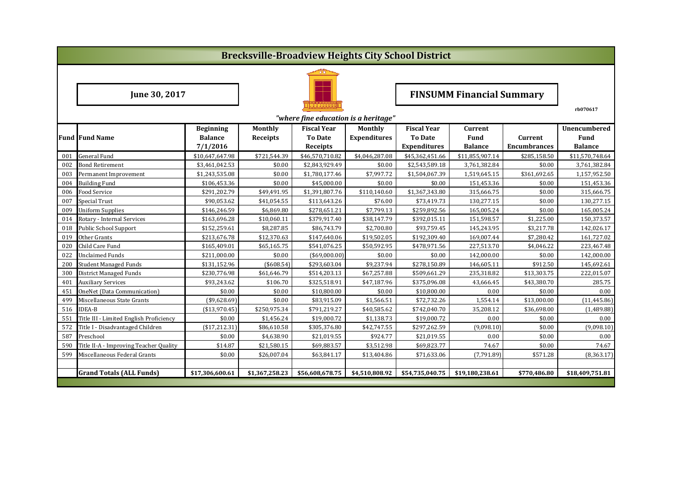|     | <b>Brecksville-Broadview Heights City School District</b> |                  |                 |                                      |                     |                     |                                  |                     |                     |  |  |  |
|-----|-----------------------------------------------------------|------------------|-----------------|--------------------------------------|---------------------|---------------------|----------------------------------|---------------------|---------------------|--|--|--|
|     |                                                           |                  |                 |                                      |                     |                     |                                  |                     |                     |  |  |  |
|     | June 30, 2017                                             |                  |                 |                                      |                     |                     | <b>FINSUMM Financial Summary</b> |                     |                     |  |  |  |
|     |                                                           |                  |                 | "where fine education is a heritage" |                     |                     |                                  |                     | rb070617            |  |  |  |
|     |                                                           | <b>Beginning</b> | Monthly         | <b>Fiscal Year</b>                   | Monthly             | <b>Fiscal Year</b>  | Current                          |                     | <b>Unencumbered</b> |  |  |  |
|     | <b>Fund Fund Name</b>                                     | <b>Balance</b>   | <b>Receipts</b> | <b>To Date</b>                       | <b>Expenditures</b> | <b>To Date</b>      | <b>Fund</b>                      | Current             | <b>Fund</b>         |  |  |  |
|     |                                                           | 7/1/2016         |                 | Receipts                             |                     | <b>Expenditures</b> | <b>Balance</b>                   | <b>Encumbrances</b> | <b>Balance</b>      |  |  |  |
| 001 | <b>General Fund</b>                                       | \$10,647,647.98  | \$721,544.39    | \$46,570,710.82                      | \$4,046,287.08      | \$45,362,451.66     | \$11,855,907.14                  | \$285,158.50        | \$11,570,748.64     |  |  |  |
| 002 | <b>Bond Retirement</b>                                    | \$3,461,042.53   | \$0.00          | \$2,843,929.49                       | \$0.00              | \$2,543,589.18      | 3,761,382.84                     | \$0.00              | 3,761,382.84        |  |  |  |
| 003 | Permanent Improvement                                     | \$1,243,535.08   | \$0.00          | \$1,780,177.46                       | \$7,997.72          | \$1,504,067.39      | 1,519,645.15                     | \$361,692.65        | 1,157,952.50        |  |  |  |
| 004 | <b>Building Fund</b>                                      | \$106,453.36     | \$0.00          | \$45,000.00                          | \$0.00              | \$0.00              | 151,453.36                       | \$0.00              | 151,453.36          |  |  |  |
| 006 | <b>Food Service</b>                                       | \$291,202.79     | \$49,491.95     | \$1,391,807.76                       | \$110,140.60        | \$1,367,343.80      | 315,666.75                       | \$0.00              | 315,666.75          |  |  |  |
| 007 | Special Trust                                             | \$90,053.62      | \$41,054.55     | \$113,643.26                         | \$76.00             | \$73,419.73         | 130,277.15                       | \$0.00              | 130,277.15          |  |  |  |
| 009 | <b>Uniform Supplies</b>                                   | \$146,246.59     | \$6,869.80      | \$278,651.21                         | \$7,799.13          | \$259,892.56        | 165,005.24                       | \$0.00              | 165,005.24          |  |  |  |
| 014 | Rotary - Internal Services                                | \$163,696.28     | \$10,060.11     | \$379,917.40                         | \$38,147.79         | \$392,015.11        | 151,598.57                       | \$1,225.00          | 150,373.57          |  |  |  |
| 018 | <b>Public School Support</b>                              | \$152,259.61     | \$8,287.85      | \$86,743.79                          | \$2,700.80          | \$93,759.45         | 145,243.95                       | \$3,217.78          | 142,026.17          |  |  |  |
| 019 | Other Grants                                              | \$213,676.78     | \$12,370.63     | \$147,640.06                         | \$19,502.05         | \$192,309.40        | 169,007.44                       | \$7,280.42          | 161,727.02          |  |  |  |
| 020 | Child Care Fund                                           | \$165,409.01     | \$65,165.75     | \$541,076.25                         | \$50,592.95         | \$478,971.56        | 227,513.70                       | \$4,046.22          | 223,467.48          |  |  |  |
| 022 | <b>Unclaimed Funds</b>                                    | \$211,000.00     | \$0.00          | $($ \$69,000.00)                     | \$0.00              | \$0.00              | 142,000.00                       | \$0.00              | 142,000.00          |  |  |  |
| 200 | <b>Student Managed Funds</b>                              | \$131,152.96     | ( \$608.54]     | \$293,603.04                         | \$9,237.94          | \$278,150.89        | 146,605.11                       | \$912.50            | 145,692.61          |  |  |  |
| 300 | <b>District Managed Funds</b>                             | \$230,776.98     | \$61,646.79     | \$514,203.13                         | \$67,257.88         | \$509,661.29        | 235,318.82                       | \$13,303.75         | 222,015.07          |  |  |  |
| 401 | <b>Auxiliary Services</b>                                 | \$93,243.62      | \$106.70        | \$325,518.91                         | \$47,187.96         | \$375,096.08        | 43,666.45                        | \$43,380.70         | 285.75              |  |  |  |
| 451 | OneNet (Data Communication)                               | \$0.00           | \$0.00          | \$10,800.00                          | \$0.00              | \$10,800.00         | 0.00                             | \$0.00              | 0.00                |  |  |  |
| 499 | Miscellaneous State Grants                                | $(*9,628.69)$    | \$0.00          | \$83,915.09                          | \$1,566.51          | \$72,732.26         | 1,554.14                         | \$13,000.00         | (11, 445.86)        |  |  |  |
| 516 | <b>IDEA-B</b>                                             | (\$13,970.45)    | \$250,975.34    | \$791,219.27                         | \$40,585.62         | \$742,040.70        | 35,208.12                        | \$36,698.00         | (1,489.88)          |  |  |  |
| 551 | Title III - Limited English Proficiency                   | \$0.00           | \$1,456.24      | \$19,000.72                          | \$1,138.73          | \$19,000.72         | 0.00                             | \$0.00              | 0.00                |  |  |  |
| 572 | Title I - Disadvantaged Children                          | (\$17,212.31)    | \$86,610.58     | \$305,376.80                         | \$42,747.55         | \$297,262.59        | (9,098.10)                       | \$0.00              | (9,098.10)          |  |  |  |
| 587 | Preschool                                                 | \$0.00           | \$4,638.90      | \$21,019.55                          | \$924.77            | \$21,019.55         | 0.00                             | \$0.00              | 0.00                |  |  |  |
| 590 | Title II-A - Improving Teacher Quality                    | \$14.87          | \$21,580.15     | \$69,883.57                          | \$3,512.98          | \$69,823.77         | 74.67                            | \$0.00              | 74.67               |  |  |  |
| 599 | Miscellaneous Federal Grants                              | \$0.00           | \$26,007.04     | \$63,841.17                          | \$13,404.86         | \$71,633.06         | (7,791.89)                       | \$571.28            | (8,363.17)          |  |  |  |
|     |                                                           |                  |                 |                                      |                     |                     |                                  |                     |                     |  |  |  |
|     | <b>Grand Totals (ALL Funds)</b>                           | \$17,306,600.61  | \$1,367,258.23  | \$56,608,678.75                      | \$4,510,808.92      | \$54,735,040.75     | \$19,180,238.61                  | \$770,486.80        | \$18,409,751.81     |  |  |  |
|     |                                                           |                  |                 |                                      |                     |                     |                                  |                     |                     |  |  |  |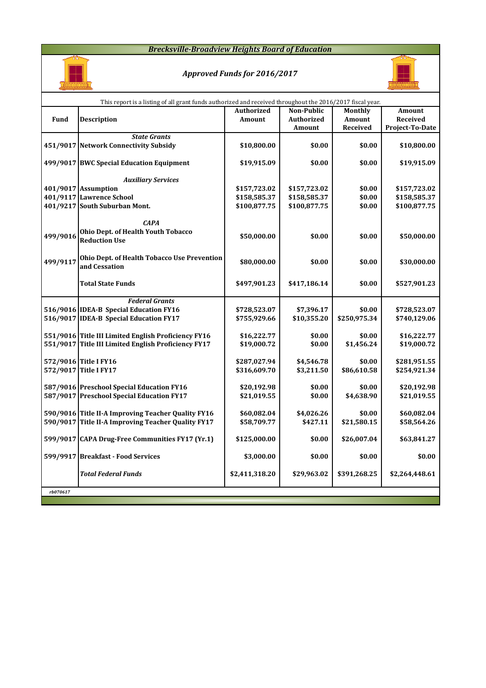#### *Brecksville-Broadview Heights Board of Education*



# *Approved Funds for 2016/2017*



|          | This report is a listing of all grant funds authorized and received throughout the 2016/2017 fiscal year. |                   |                   |              |                 |
|----------|-----------------------------------------------------------------------------------------------------------|-------------------|-------------------|--------------|-----------------|
|          |                                                                                                           | <b>Authorized</b> | Non-Public        | Monthly      | Amount          |
| Fund     | <b>Description</b>                                                                                        | <b>Amount</b>     | <b>Authorized</b> | Amount       | Received        |
|          |                                                                                                           |                   | Amount            | Received     | Project-To-Date |
|          | <b>State Grants</b>                                                                                       |                   |                   |              |                 |
|          | 451/9017 Network Connectivity Subsidy                                                                     | \$10,800.00       | \$0.00            | \$0.00       | \$10,800.00     |
|          |                                                                                                           |                   |                   |              |                 |
|          | 499/9017 BWC Special Education Equipment                                                                  | \$19,915.09       | \$0.00            | \$0.00       | \$19,915.09     |
|          | <b>Auxiliary Services</b>                                                                                 |                   |                   |              |                 |
|          | 401/9017 Assumption                                                                                       | \$157,723.02      | \$157,723.02      | \$0.00       | \$157,723.02    |
|          | 401/9117 Lawrence School                                                                                  | \$158,585.37      | \$158,585.37      | \$0.00       | \$158,585.37    |
|          | 401/9217 South Suburban Mont.                                                                             | \$100,877.75      | \$100,877.75      | \$0.00       | \$100,877.75    |
|          |                                                                                                           |                   |                   |              |                 |
|          | <b>CAPA</b>                                                                                               |                   |                   |              |                 |
|          | Ohio Dept. of Health Youth Tobacco                                                                        |                   |                   |              |                 |
| 499/9016 | <b>Reduction Use</b>                                                                                      | \$50,000.00       | \$0.00            | \$0.00       | \$50,000.00     |
|          |                                                                                                           |                   |                   |              |                 |
|          | Ohio Dept. of Health Tobacco Use Prevention                                                               |                   |                   |              |                 |
| 499/9117 | and Cessation                                                                                             | \$80,000.00       | \$0.00            | \$0.00       | \$30,000.00     |
|          |                                                                                                           |                   |                   |              |                 |
|          | <b>Total State Funds</b>                                                                                  | \$497,901.23      | \$417,186.14      | \$0.00       | \$527,901.23    |
|          |                                                                                                           |                   |                   |              |                 |
|          | <b>Federal Grants</b>                                                                                     |                   |                   |              |                 |
|          | 516/9016 IDEA-B Special Education FY16                                                                    | \$728,523.07      | \$7,396.17        | \$0.00       | \$728,523.07    |
|          | 516/9017 IDEA-B Special Education FY17                                                                    | \$755,929.66      | \$10,355.20       | \$250,975.34 | \$740,129.06    |
|          | 551/9016 Title III Limited English Proficiency FY16                                                       | \$16,222.77       | \$0.00            | \$0.00       | \$16,222.77     |
|          | 551/9017 Title III Limited English Proficiency FY17                                                       | \$19,000.72       | \$0.00            | \$1,456.24   | \$19,000.72     |
|          |                                                                                                           |                   |                   |              |                 |
|          | 572/9016 Title I FY16                                                                                     | \$287,027.94      | \$4,546.78        | \$0.00       | \$281,951.55    |
|          | 572/9017 Title I FY17                                                                                     | \$316,609.70      | \$3,211.50        | \$86,610.58  | \$254,921.34    |
|          |                                                                                                           |                   |                   |              |                 |
|          | 587/9016 Preschool Special Education FY16                                                                 | \$20,192.98       | \$0.00            | \$0.00       | \$20,192.98     |
|          | 587/9017 Preschool Special Education FY17                                                                 | \$21,019.55       | \$0.00            | \$4,638.90   | \$21,019.55     |
|          |                                                                                                           |                   |                   |              |                 |
|          | 590/9016 Title II-A Improving Teacher Quality FY16                                                        | \$60,082.04       | \$4,026.26        | \$0.00       | \$60,082.04     |
|          | 590/9017 Title II-A Improving Teacher Quality FY17                                                        | \$58,709.77       | \$427.11          | \$21,580.15  | \$58,564.26     |
|          |                                                                                                           |                   |                   |              |                 |
|          | 599/9017 CAPA Drug-Free Communities FY17 (Yr.1)                                                           | \$125,000.00      | \$0.00            | \$26,007.04  | \$63,841.27     |
|          | 599/9917 Breakfast - Food Services                                                                        | \$3,000.00        | \$0.00            | \$0.00       | \$0.00          |
|          |                                                                                                           |                   |                   |              |                 |
|          | <b>Total Federal Funds</b>                                                                                | \$2,411,318.20    | \$29,963.02       | \$391,268.25 | \$2,264,448.61  |
|          |                                                                                                           |                   |                   |              |                 |
| rb070617 |                                                                                                           |                   |                   |              |                 |
|          |                                                                                                           |                   |                   |              |                 |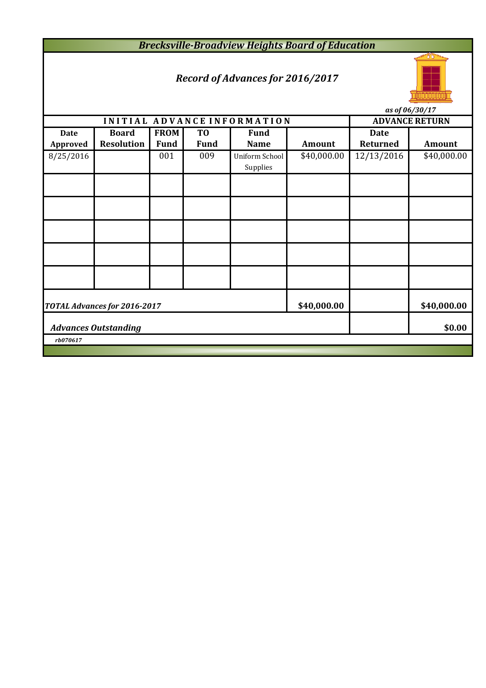*Brecksville-Broadview Heights Board of Education*

# *Record of Advances for 2016/2017*



*as of 06/30/17*

|                                                            |                                       |             |                |                             |             |                 | $(15 \text{ V}) \text{ V}$ |  |  |
|------------------------------------------------------------|---------------------------------------|-------------|----------------|-----------------------------|-------------|-----------------|----------------------------|--|--|
|                                                            |                                       |             |                | INITIAL ADVANCE INFORMATION |             |                 | <b>ADVANCE RETURN</b>      |  |  |
| <b>Date</b>                                                | <b>Board</b>                          | <b>FROM</b> | T <sub>0</sub> | <b>Fund</b>                 |             | <b>Date</b>     |                            |  |  |
| Approved                                                   | <b>Resolution</b>                     | <b>Fund</b> | <b>Fund</b>    | <b>Name</b>                 | Amount      | <b>Returned</b> | <b>Amount</b>              |  |  |
| 8/25/2016                                                  |                                       | 001         | 009            | Uniform School<br>Supplies  | \$40,000.00 | 12/13/2016      | \$40,000.00                |  |  |
|                                                            |                                       |             |                |                             |             |                 |                            |  |  |
|                                                            |                                       |             |                |                             |             |                 |                            |  |  |
|                                                            |                                       |             |                |                             |             |                 |                            |  |  |
|                                                            |                                       |             |                |                             |             |                 |                            |  |  |
|                                                            |                                       |             |                |                             |             |                 |                            |  |  |
| \$40,000.00<br>\$40,000.00<br>TOTAL Advances for 2016-2017 |                                       |             |                |                             |             |                 |                            |  |  |
|                                                            | \$0.00<br><b>Advances Outstanding</b> |             |                |                             |             |                 |                            |  |  |
| rb070617                                                   |                                       |             |                |                             |             |                 |                            |  |  |
|                                                            |                                       |             |                |                             |             |                 |                            |  |  |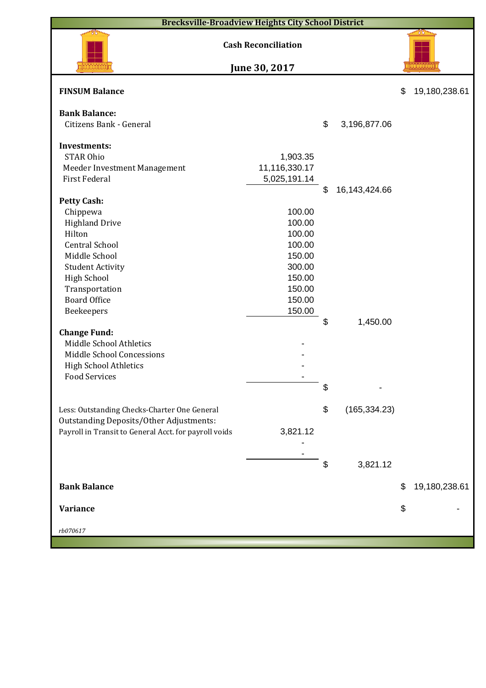|                                                       | <b>Brecksville-Broadview Heights City School District</b> |                        |                     |
|-------------------------------------------------------|-----------------------------------------------------------|------------------------|---------------------|
|                                                       | <b>Cash Reconciliation</b>                                |                        |                     |
|                                                       | June 30, 2017                                             |                        |                     |
| <b>FINSUM Balance</b>                                 |                                                           |                        | \$<br>19,180,238.61 |
| <b>Bank Balance:</b>                                  |                                                           |                        |                     |
| Citizens Bank - General                               |                                                           | \$<br>3,196,877.06     |                     |
| <b>Investments:</b>                                   |                                                           |                        |                     |
| <b>STAR Ohio</b>                                      | 1,903.35                                                  |                        |                     |
| Meeder Investment Management                          | 11,116,330.17                                             |                        |                     |
| First Federal                                         | 5,025,191.14                                              | \$<br>16, 143, 424. 66 |                     |
| <b>Petty Cash:</b>                                    |                                                           |                        |                     |
| Chippewa                                              | 100.00                                                    |                        |                     |
| <b>Highland Drive</b>                                 | 100.00                                                    |                        |                     |
| Hilton                                                | 100.00                                                    |                        |                     |
| <b>Central School</b>                                 | 100.00                                                    |                        |                     |
| Middle School                                         | 150.00                                                    |                        |                     |
| <b>Student Activity</b>                               | 300.00                                                    |                        |                     |
| <b>High School</b>                                    | 150.00                                                    |                        |                     |
| Transportation                                        | 150.00                                                    |                        |                     |
| <b>Board Office</b>                                   | 150.00                                                    |                        |                     |
| Beekeepers                                            | 150.00                                                    |                        |                     |
| <b>Change Fund:</b>                                   |                                                           | \$<br>1,450.00         |                     |
| Middle School Athletics                               |                                                           |                        |                     |
| Middle School Concessions                             |                                                           |                        |                     |
| <b>High School Athletics</b>                          |                                                           |                        |                     |
| <b>Food Services</b>                                  |                                                           |                        |                     |
|                                                       |                                                           | \$                     |                     |
| Less: Outstanding Checks-Charter One General          |                                                           | \$<br>(165, 334.23)    |                     |
| <b>Outstanding Deposits/Other Adjustments:</b>        |                                                           |                        |                     |
| Payroll in Transit to General Acct. for payroll voids | 3,821.12                                                  |                        |                     |
|                                                       |                                                           |                        |                     |
|                                                       |                                                           |                        |                     |
|                                                       |                                                           | \$<br>3,821.12         |                     |
| <b>Bank Balance</b>                                   |                                                           |                        | \$<br>19,180,238.61 |
| <b>Variance</b>                                       |                                                           |                        | \$                  |
| rb070617                                              |                                                           |                        |                     |
|                                                       |                                                           |                        |                     |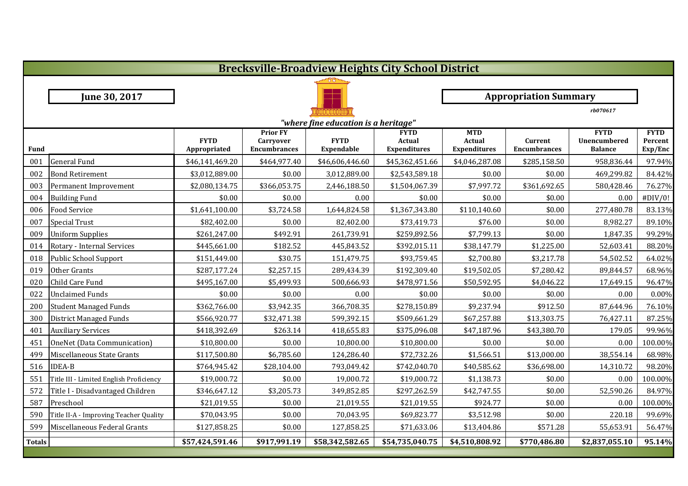|               | <b>Brecksville-Broadview Heights City School District</b> |                             |                                                     |                           |                                              |                                                    |                                |                                               |                                   |  |  |
|---------------|-----------------------------------------------------------|-----------------------------|-----------------------------------------------------|---------------------------|----------------------------------------------|----------------------------------------------------|--------------------------------|-----------------------------------------------|-----------------------------------|--|--|
|               |                                                           |                             |                                                     |                           |                                              |                                                    |                                |                                               |                                   |  |  |
|               | June 30, 2017                                             |                             |                                                     |                           |                                              |                                                    | <b>Appropriation Summary</b>   |                                               |                                   |  |  |
|               |                                                           |                             |                                                     |                           |                                              |                                                    |                                | rb070617                                      |                                   |  |  |
|               | "where fine education is a heritage"                      |                             |                                                     |                           |                                              |                                                    |                                |                                               |                                   |  |  |
| <b>Fund</b>   |                                                           | <b>FYTD</b><br>Appropriated | <b>Prior FY</b><br>Carryover<br><b>Encumbrances</b> | <b>FYTD</b><br>Expendable | <b>FYTD</b><br>Actual<br><b>Expenditures</b> | <b>MTD</b><br><b>Actual</b><br><b>Expenditures</b> | Current<br><b>Encumbrances</b> | <b>FYTD</b><br>Unencumbered<br><b>Balance</b> | <b>FYTD</b><br>Percent<br>Exp/Enc |  |  |
| 001           | <b>General Fund</b>                                       | \$46,141,469.20             | \$464,977.40                                        | \$46,606,446.60           | \$45,362,451.66                              | \$4,046,287.08                                     | \$285,158.50                   | 958,836.44                                    | 97.94%                            |  |  |
| 002           | <b>Bond Retirement</b>                                    | \$3,012,889.00              | \$0.00                                              | 3,012,889.00              | \$2,543,589.18                               | \$0.00                                             | \$0.00                         | 469,299.82                                    | 84.42%                            |  |  |
| 003           | Permanent Improvement                                     | \$2,080,134.75              | \$366,053.75                                        | 2,446,188.50              | \$1,504,067.39                               | \$7,997.72                                         | \$361,692.65                   | 580,428.46                                    | 76.27%                            |  |  |
| 004           | <b>Building Fund</b>                                      | \$0.00                      | \$0.00                                              | 0.00                      | \$0.00                                       | \$0.00                                             | \$0.00                         | 0.00                                          | #DIV/0!                           |  |  |
| 006           | Food Service                                              | \$1,641,100.00              | \$3,724.58                                          | 1,644,824.58              | \$1,367,343.80                               | \$110,140.60                                       | \$0.00                         | 277,480.78                                    | 83.13%                            |  |  |
| 007           | <b>Special Trust</b>                                      | \$82,402.00                 | \$0.00                                              | 82,402.00                 | \$73,419.73                                  | \$76.00                                            | \$0.00                         | 8,982.27                                      | 89.10%                            |  |  |
| 009           | <b>Uniform Supplies</b>                                   | \$261,247.00                | \$492.91                                            | 261,739.91                | \$259,892.56                                 | \$7,799.13                                         | \$0.00                         | 1,847.35                                      | 99.29%                            |  |  |
| 014           | Rotary - Internal Services                                | \$445,661.00                | \$182.52                                            | 445,843.52                | \$392,015.11                                 | \$38,147.79                                        | \$1,225.00                     | 52,603.41                                     | 88.20%                            |  |  |
| 018           | <b>Public School Support</b>                              | \$151,449.00                | \$30.75                                             | 151,479.75                | \$93,759.45                                  | \$2,700.80                                         | \$3,217.78                     | 54,502.52                                     | 64.02%                            |  |  |
| 019           | Other Grants                                              | \$287,177.24                | \$2,257.15                                          | 289,434.39                | \$192,309.40                                 | \$19,502.05                                        | \$7,280.42                     | 89,844.57                                     | 68.96%                            |  |  |
| 020           | Child Care Fund                                           | \$495,167.00                | \$5,499.93                                          | 500,666.93                | \$478,971.56                                 | \$50,592.95                                        | \$4,046.22                     | 17,649.15                                     | 96.47%                            |  |  |
| 022           | <b>Unclaimed Funds</b>                                    | \$0.00                      | \$0.00                                              | 0.00                      | \$0.00                                       | \$0.00                                             | \$0.00                         | 0.00                                          | 0.00%                             |  |  |
| 200           | <b>Student Managed Funds</b>                              | \$362,766.00                | \$3,942.35                                          | 366,708.35                | \$278,150.89                                 | \$9,237.94                                         | \$912.50                       | 87,644.96                                     | 76.10%                            |  |  |
| 300           | <b>District Managed Funds</b>                             | \$566,920.77                | \$32,471.38                                         | 599,392.15                | \$509,661.29                                 | \$67,257.88                                        | \$13,303.75                    | 76,427.11                                     | 87.25%                            |  |  |
| 401           | <b>Auxiliary Services</b>                                 | \$418,392.69                | \$263.14                                            | 418,655.83                | \$375,096.08                                 | \$47,187.96                                        | \$43,380.70                    | 179.05                                        | 99.96%                            |  |  |
| 451           | OneNet (Data Communication)                               | \$10,800.00                 | \$0.00                                              | 10,800.00                 | \$10,800.00                                  | \$0.00                                             | \$0.00                         | 0.00                                          | 100.00%                           |  |  |
| 499           | Miscellaneous State Grants                                | \$117,500.80                | \$6,785.60                                          | 124,286.40                | \$72,732.26                                  | \$1,566.51                                         | \$13,000.00                    | 38,554.14                                     | 68.98%                            |  |  |
| 516           | <b>IDEA-B</b>                                             | \$764,945.42                | \$28,104.00                                         | 793,049.42                | \$742,040.70                                 | \$40,585.62                                        | \$36,698.00                    | 14,310.72                                     | 98.20%                            |  |  |
| 551           | Title III - Limited English Proficiency                   | \$19,000.72                 | \$0.00                                              | 19,000.72                 | \$19,000.72                                  | \$1,138.73                                         | \$0.00                         | 0.00                                          | 100.00%                           |  |  |
| 572           | Title I - Disadvantaged Children                          | \$346,647.12                | \$3,205.73                                          | 349,852.85                | \$297,262.59                                 | \$42,747.55                                        | \$0.00                         | 52,590.26                                     | 84.97%                            |  |  |
| 587           | Preschool                                                 | \$21,019.55                 | \$0.00                                              | 21,019.55                 | \$21,019.55                                  | \$924.77                                           | \$0.00                         | 0.00                                          | 100.00%                           |  |  |
| 590           | Title II-A - Improving Teacher Quality                    | \$70,043.95                 | \$0.00                                              | 70,043.95                 | \$69,823.77                                  | \$3,512.98                                         | \$0.00                         | 220.18                                        | 99.69%                            |  |  |
| 599           | Miscellaneous Federal Grants                              | \$127,858.25                | \$0.00                                              | 127,858.25                | \$71,633.06                                  | \$13,404.86                                        | \$571.28                       | 55,653.91                                     | 56.47%                            |  |  |
| <b>Totals</b> |                                                           | \$57,424,591.46             | \$917,991.19                                        | \$58,342,582.65           | \$54,735,040.75                              | \$4,510,808.92                                     | \$770,486.80                   | \$2,837,055.10                                | 95.14%                            |  |  |